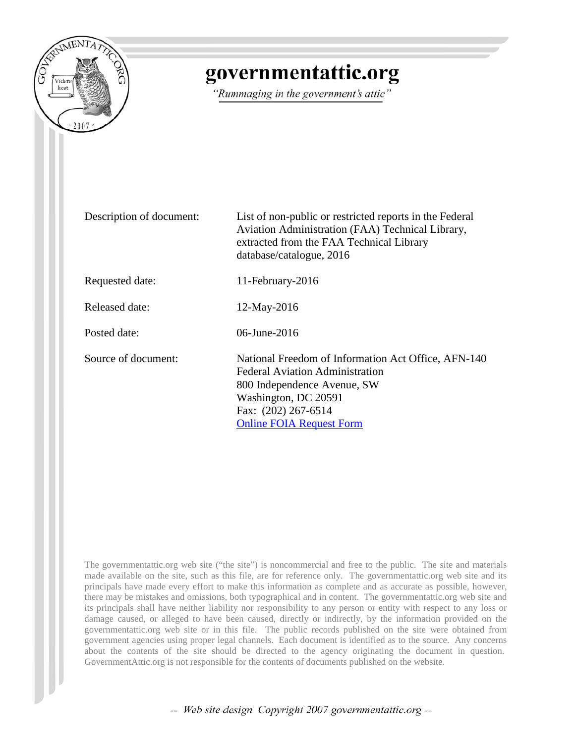

# governmentattic.org

"Rummaging in the government's attic"

| Description of document: | List of non-public or restricted reports in the Federal<br>Aviation Administration (FAA) Technical Library,<br>extracted from the FAA Technical Library<br>database/catalogue, 2016                            |
|--------------------------|----------------------------------------------------------------------------------------------------------------------------------------------------------------------------------------------------------------|
| Requested date:          | 11-February-2016                                                                                                                                                                                               |
| Released date:           | $12$ -May-2016                                                                                                                                                                                                 |
| Posted date:             | 06-June-2016                                                                                                                                                                                                   |
| Source of document:      | National Freedom of Information Act Office, AFN-140<br><b>Federal Aviation Administration</b><br>800 Independence Avenue, SW<br>Washington, DC 20591<br>Fax: (202) 267-6514<br><b>Online FOIA Request Form</b> |

The governmentattic.org web site ("the site") is noncommercial and free to the public. The site and materials made available on the site, such as this file, are for reference only. The governmentattic.org web site and its principals have made every effort to make this information as complete and as accurate as possible, however, there may be mistakes and omissions, both typographical and in content. The governmentattic.org web site and its principals shall have neither liability nor responsibility to any person or entity with respect to any loss or damage caused, or alleged to have been caused, directly or indirectly, by the information provided on the governmentattic.org web site or in this file. The public records published on the site were obtained from government agencies using proper legal channels. Each document is identified as to the source. Any concerns about the contents of the site should be directed to the agency originating the document in question. GovernmentAttic.org is not responsible for the contents of documents published on the website.

-- Web site design Copyright 2007 governmentattic.org --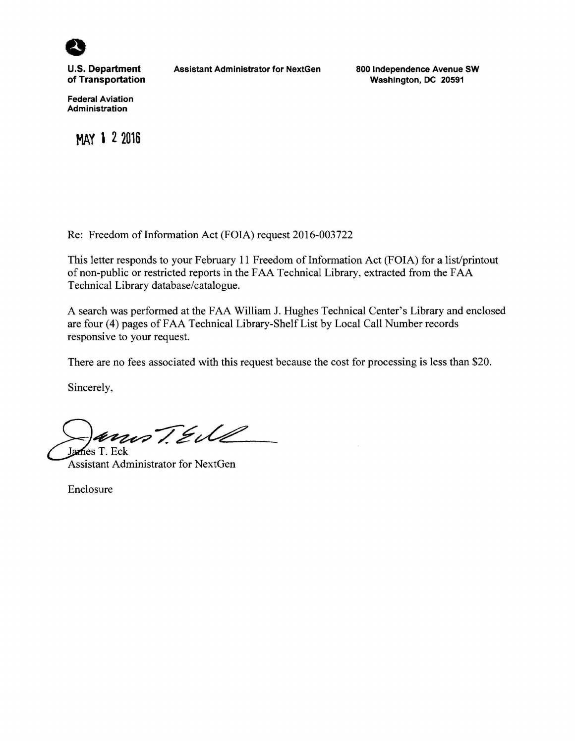

**U.S. Department of Transportation** 

**Federal Aviation Administration** 

**MAY 1 2 2016** 

**Assistant Administrator for NextGen** 

**800 Independence Avenue SW Washington, DC 20591** 

Re: Freedom of Information Act (FOIA) request 2016-003722

This letter responds to your February 11 Freedom of Information Act (FOIA) for a list/printout of non-public or restricted reports in the FAA Technical Library, extracted from the FAA Technical Library database/catalogue.

A search was performed at the FAA William J. Hughes Technical Center's Library and enclosed are four (4) pages of FAA Technical Library-Shelf List by Local Call Number records responsive to your request.

There are no fees associated with this request because the cost for processing is less than \$20.

Sincerely,

 $\sum_{\text{James T. Eck}}$ 

Assistant Administrator for NextGen

Enclosure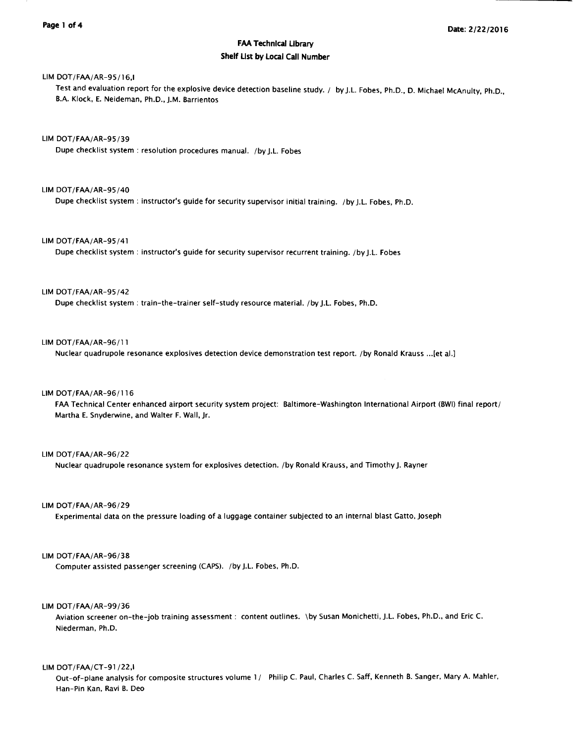# FAA Technical Library Shelf List by Local Call Number

# LIM DOT/FAA/AR-9S/16,I

Test and evaluation report for the explosive device detection baseline study. / by J.L. Fobes, Ph.D., D. Michael McAnulty, Ph.D., B.A. Klock, E. Neideman, Ph.D., J.M. Barrientos

LIM DOT/FAA/AR-9S/39

Dupe checklist system : resolution procedures manual. /by J.L. Fobes

# LIM DOT/FAA/AR-9S/40

Dupe checklist system : instructor's guide for security supervisor initial training. /by J.L. Fobes, Ph.D.

# LIM DOT/FAA/AR-9S/41

Dupe checklist system : instructor's guide for security supervisor recurrent training. /by J.L. Fobes

#### LIM DOT/FAA/AR-9S/42

Dupe checklist system: train-the-trainer self-study resource material. /by J.L. Fobes, Ph.D.

# LIM DOT/FAA/AR-96/11

Nuclear quadrupole resonance explosives detection device demonstration test report. /by Ronald Krauss ... [et al.]

#### LIM DOT/FAA/AR-96/116

FAA Technical Center enhanced airport security system project: Baltimore-Washington International Airport (BWI) final report/ Martha E. Snyderwine, and Walter F. Wall, Jr.

#### LIM DOT/FAA/AR-96/22

Nuclear quadrupole resonance system for explosives detection. /by Ronald Krauss, and Timothy J. Rayner

# LIM DOT/FAA/AR-96/29

Experimental data on the pressure loading of a luggage container subjected to an internal blast Gatto, Joseph

# LIM DOT/FAA/AR-96/38

Computer assisted passenger screening (CAPS). /by J.L. Fobes, Ph.D.

#### LIM DOT/FAA/AR-99/36

Aviation screener on-the-job training assessment : content outlines. \by Susan Monichetti, J.L. Fobes, Ph.D., and Eric C. Niederman, Ph.D.

# LIM DOT/FAA/CT-91 /22,I

Out-of-plane analysis for composite structures volume 1/ Philip C. Paul, Charles C. Saff, Kenneth B. Sanger, Mary A. Mahler, Han-Pin Kan, Ravi B. Deo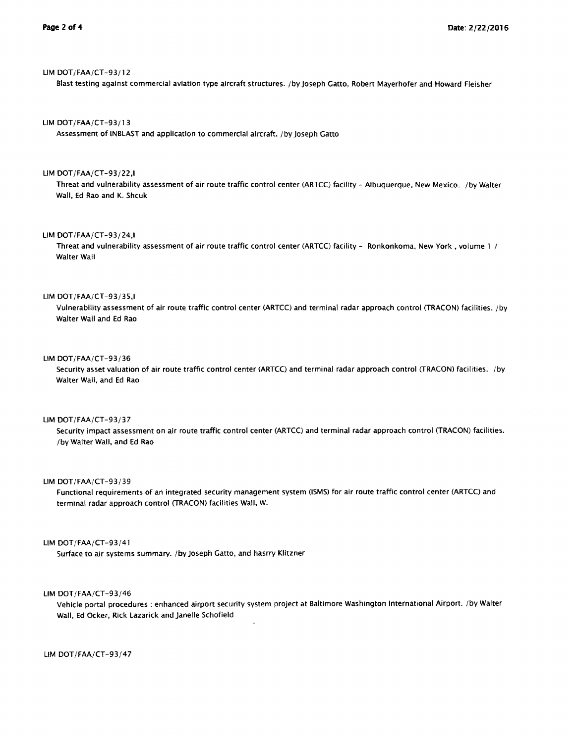# LIM DOT/FAA/CT-93/12

Blast testing against commercial aviation type aircraft structures. /by Joseph Gatto, Robert Mayerhofer and Howard Fleisher

# LIM DOT/FAA/CT-93/13

Assessment of INBLAST and application to commercial aircraft. /by Joseph Gatto

#### LIM DOT /FAA/CT-93/22,1

Threat and vulnerability assessment of air route traffic control center (ARTCC) facility - Albuquerque, New Mexico. /by Walter Wall, Ed Rao and K. Shcuk

#### LIM DOT/FAA/CT-93/24,I

Threat and vulnerability assessment of air route traffic control center (ARTCC) facility - Ronkonkoma. New York , volume 1 / Walter Wall

#### LIM DOT/FAA/CT-93/35,I

Vulnerability assessment of air route traffic control center (ARTCC) and terminal radar approach control (TRACON) facilities. /by Walter Wall and Ed Rao

## LIM DOT/FAA/CT-93/36

Security asset valuation of air route traffic control center (ARTCC) and terminal radar approach control (TRACON) facilities. /by Walter Wall, and Ed Rao

# LIM DOT/FAA/CT-93/37

Security impact assessment on air route traffic control center (ARTCC) and terminal radar approach control (TRACON) facilities. /by Walter Wall, and Ed Rao

#### LIM DOT/FAA/CT-93/39

Functional requirements of an integrated security management system (ISMS) for air route traffic control center (ARTCC) and terminal radar approach control (TRACON) facilities Wall, W.

#### LIM DOT/FAA/CT-93/41

Surface to air systems summary. /by Joseph Gatto, and hasrry Klitzner

# LIM DOT/FAA/CT-93/46

Vehicle portal procedures : enhanced airport security system project at Baltimore Washington International Airport. /by Walter Wall, Ed Ocker, Rick Lazarick and Janelle Schofield

LIM DOT/FAA/CT-93/47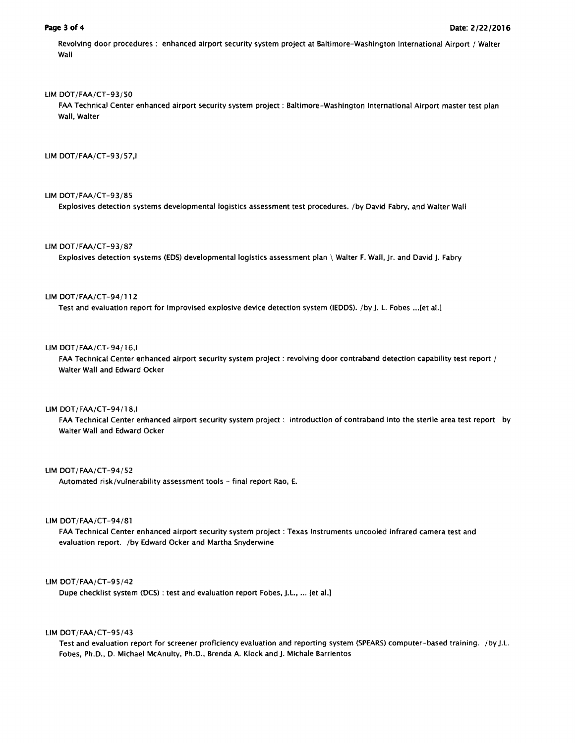Revolving door procedures : enhanced airport security system project at Baltimore-Washington International Airport / Walter Wall

# LIM DOT/FAA/CT-93/50

FAA Technical Center enhanced airport security system project : Baltimore-Washington International Airport master test plan Wall, Walter

# LIM DOT/FAA/CT-93/57,1

# LIM DOT/FAA/CT-93/85

Explosives detection systems developmental logistics assessment test procedures. /by David Fabry, and Walter Wall

# LIM DOT/FAA/CT-93/87

Explosives detection systems (EDS) developmental logistics assessment plan \ Walter F. Wall, Jr. and David J. Fabry

#### LIM DOT/FAA/CT-94/112

Test and evaluation report for improvised explosive device detection system (IEDDS). /by J. L. Fobes ... [et al.]

# LIM DOT /FAA/CT-94/16,I

FAA Technical Center enhanced airport security system project : revolving door contraband detection capability test report / Walter Wall and Edward Ocker

# LIM DOT/FAA/CT-94/18,I

FAA Technical Center enhanced airport security system project : introduction of contraband into the sterile area test report by Walter Wall and Edward Ocker

# UM DOT/FAA/CT-94/52

Automated risk/vulnerability assessment tools - final report Rao, E.

### LIM DOT/FAA/CT-94/81

FAA Technical Center enhanced airport security system project : Texas Instruments uncooled infrared camera test and evaluation report. /by Edward Ocker and Martha Snyderwine

#### UM DOT/FAA/CT-95/42

Dupe checklist system (OCS) : test and evaluation report Fobes, J.L., ... {et al.]

# UM DOT/FAA/CT-95/43

Test and evaluation report for screener proficiency evaluation and reporting system (SPEARS) computer-based training. /by J.L. Fobes, Ph.D., D. Michael McAnulty, Ph.D., Brenda A. Klock and J. Michale Barrientos